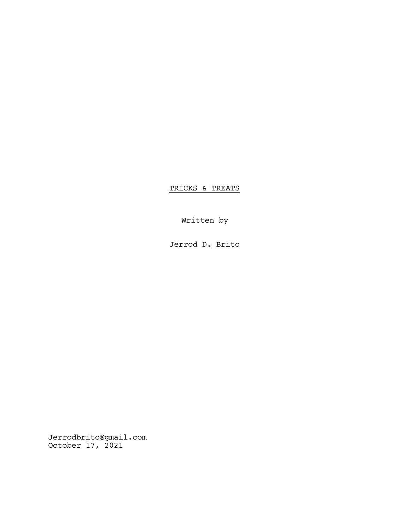TRICKS & TREATS

Written by

Jerrod D. Brito

Jerrodbrito@gmail.com October 17, 2021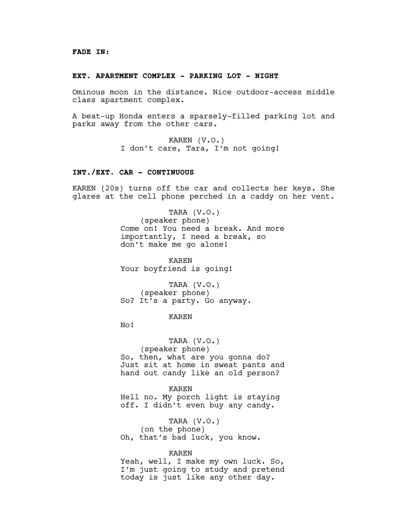## **FADE IN:**

### **EXT. APARTMENT COMPLEX - PARKING LOT - NIGHT**

Ominous moon in the distance. Nice outdoor-access middle class apartment complex.

A beat-up Honda enters a sparsely-filled parking lot and parks away from the other cars.

> KAREN (V.O.) I don't care, Tara, I'm not going!

### **INT./EXT. CAR - CONTINUOUS**

KAREN (20s) turns off the car and collects her keys. She glares at the cell phone perched in a caddy on her vent.

> TARA (V.O.) (speaker phone) Come on! You need a break. And more importantly, I need a break, so don't make me go alone!

KAREN Your boyfriend is going!

TARA (V.O.) (speaker phone) So? It's a party. Go anyway.

KAREN

No!

TARA (V.O.) (speaker phone) So, then, what are you gonna do? Just sit at home in sweat pants and hand out candy like an old person?

KAREN Hell no. My porch light is staying off. I didn't even buy any candy.

TARA (V.O.) (on the phone) Oh, that's bad luck, you know.

#### KAREN

Yeah, well, I make my own luck. So, I'm just going to study and pretend today is just like any other day.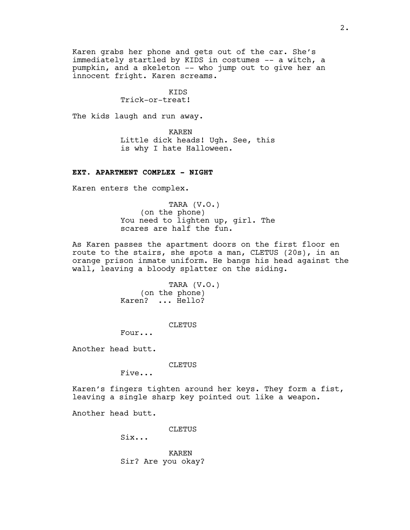Karen grabs her phone and gets out of the car. She's immediately startled by KIDS in costumes -- a witch, a pumpkin, and a skeleton -- who jump out to give her an innocent fright. Karen screams.

# KIDS

Trick-or-treat!

The kids laugh and run away.

KAREN Little dick heads! Ugh. See, this is why I hate Halloween.

### **EXT. APARTMENT COMPLEX - NIGHT**

Karen enters the complex.

TARA (V.O.) (on the phone) You need to lighten up, girl. The scares are half the fun.

As Karen passes the apartment doors on the first floor en route to the stairs, she spots a man, CLETUS (20s), in an orange prison inmate uniform. He bangs his head against the wall, leaving a bloody splatter on the siding.

> TARA (V.O.) (on the phone) Karen? ... Hello?

## CLETUS

Four...

Another head butt.

CLETUS

Five...

Karen's fingers tighten around her keys. They form a fist, leaving a single sharp key pointed out like a weapon.

Another head butt.

CLETUS

Six...

KAREN Sir? Are you okay?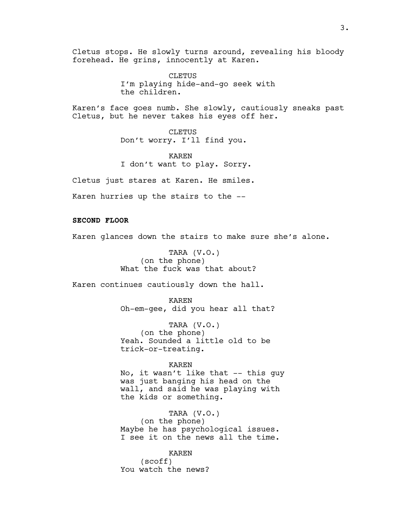Cletus stops. He slowly turns around, revealing his bloody forehead. He grins, innocently at Karen.

> CLETUS I'm playing hide-and-go seek with the children.

Karen's face goes numb. She slowly, cautiously sneaks past Cletus, but he never takes his eyes off her.

> CLETUS Don't worry. I'll find you.

KAREN I don't want to play. Sorry.

Cletus just stares at Karen. He smiles.

Karen hurries up the stairs to the --

# **SECOND FLOOR**

Karen glances down the stairs to make sure she's alone.

TARA (V.O.) (on the phone) What the fuck was that about?

Karen continues cautiously down the hall.

KAREN Oh-em-gee, did you hear all that?

TARA (V.O.) (on the phone) Yeah. Sounded a little old to be trick-or-treating.

#### KAREN

No, it wasn't like that -- this guy was just banging his head on the wall, and said he was playing with the kids or something.

TARA (V.O.) (on the phone) Maybe he has psychological issues. I see it on the news all the time.

KAREN (scoff) You watch the news?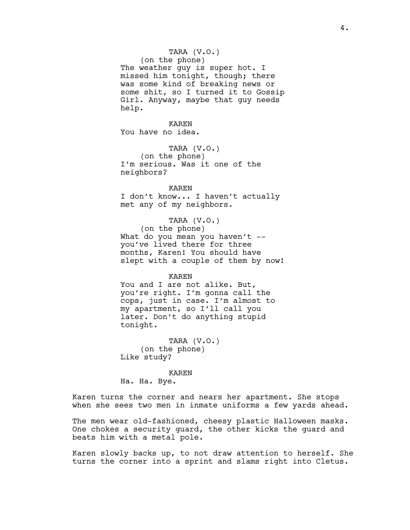# TARA (V.O.)

(on the phone) The weather guy is super hot. I missed him tonight, though; there was some kind of breaking news or some shit, so I turned it to Gossip Girl. Anyway, maybe that guy needs help.

KAREN You have no idea.

TARA (V.O.) (on the phone) I'm serious. Was it one of the neighbors?

KAREN

I don't know... I haven't actually met any of my neighbors.

TARA (V.O.) (on the phone) What do you mean you haven't -you've lived there for three months, Karen! You should have slept with a couple of them by now!

KAREN

You and I are not alike. But, you're right. I'm gonna call the cops, just in case. I'm almost to my apartment, so I'll call you later. Don't do anything stupid tonight.

TARA (V.O.) (on the phone) Like study?

KAREN

Ha. Ha. Bye.

Karen turns the corner and nears her apartment. She stops when she sees two men in inmate uniforms a few yards ahead.

The men wear old-fashioned, cheesy plastic Halloween masks. One chokes a security guard, the other kicks the guard and beats him with a metal pole.

Karen slowly backs up, to not draw attention to herself. She turns the corner into a sprint and slams right into Cletus.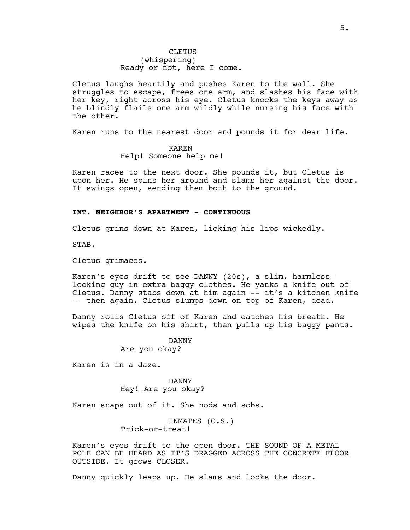Cletus laughs heartily and pushes Karen to the wall. She struggles to escape, frees one arm, and slashes his face with her key, right across his eye. Cletus knocks the keys away as he blindly flails one arm wildly while nursing his face with the other.

Karen runs to the nearest door and pounds it for dear life.

# KAREN Help! Someone help me!

Karen races to the next door. She pounds it, but Cletus is upon her. He spins her around and slams her against the door. It swings open, sending them both to the ground.

## **INT. NEIGHBOR'S APARTMENT - CONTINUOUS**

Cletus grins down at Karen, licking his lips wickedly.

STAB.

Cletus grimaces.

Karen's eyes drift to see DANNY (20s), a slim, harmlesslooking guy in extra baggy clothes. He yanks a knife out of Cletus. Danny stabs down at him again -- it's a kitchen knife -- then again. Cletus slumps down on top of Karen, dead.

Danny rolls Cletus off of Karen and catches his breath. He wipes the knife on his shirt, then pulls up his baggy pants.

DANNY

Are you okay?

Karen is in a daze.

# DANNY Hey! Are you okay?

Karen snaps out of it. She nods and sobs.

INMATES (O.S.) Trick-or-treat!

Karen's eyes drift to the open door. THE SOUND OF A METAL POLE CAN BE HEARD AS IT'S DRAGGED ACROSS THE CONCRETE FLOOR OUTSIDE. It grows CLOSER.

Danny quickly leaps up. He slams and locks the door.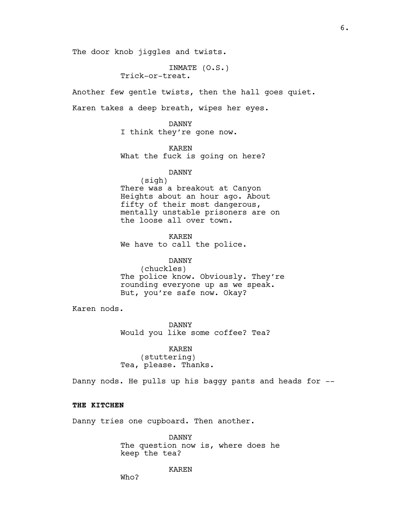The door knob jiggles and twists.

INMATE (O.S.) Trick-or-treat.

Another few gentle twists, then the hall goes quiet.

Karen takes a deep breath, wipes her eyes.

DANNY I think they're gone now.

KAREN What the fuck is going on here?

# DANNY

(sigh) There was a breakout at Canyon Heights about an hour ago. About fifty of their most dangerous, mentally unstable prisoners are on the loose all over town.

KAREN We have to call the police.

DANNY (chuckles) The police know. Obviously. They're rounding everyone up as we speak. But, you're safe now. Okay?

Karen nods.

DANNY Would you like some coffee? Tea?

KAREN (stuttering) Tea, please. Thanks.

Danny nods. He pulls up his baggy pants and heads for --

# **THE KITCHEN**

Danny tries one cupboard. Then another.

DANNY The question now is, where does he keep the tea?

KAREN

Who?